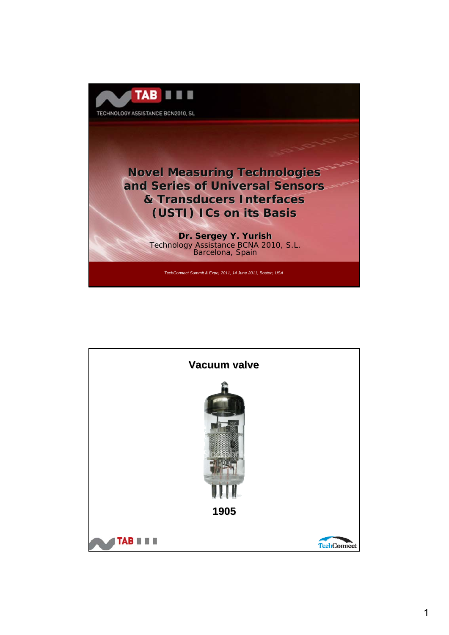

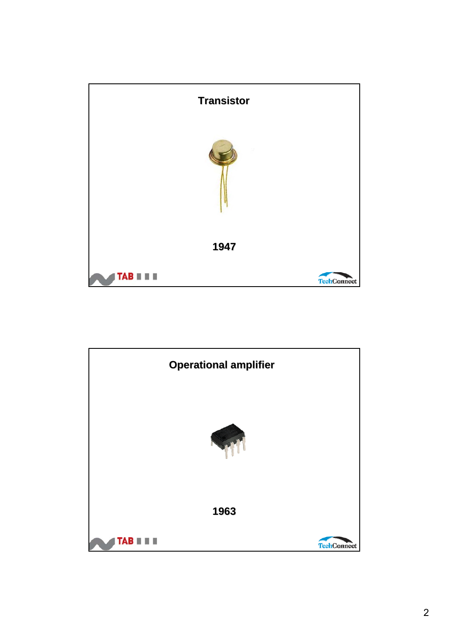

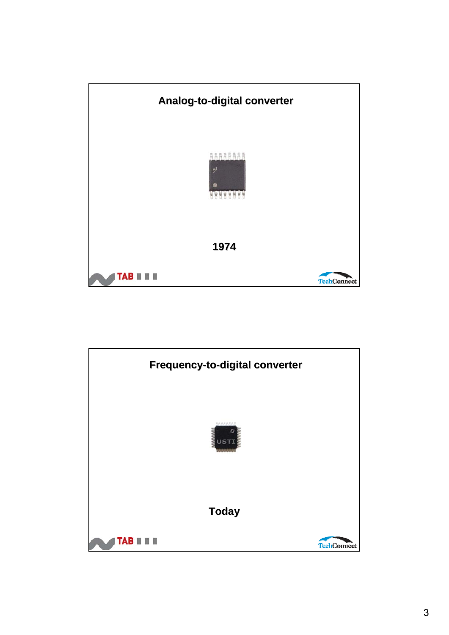

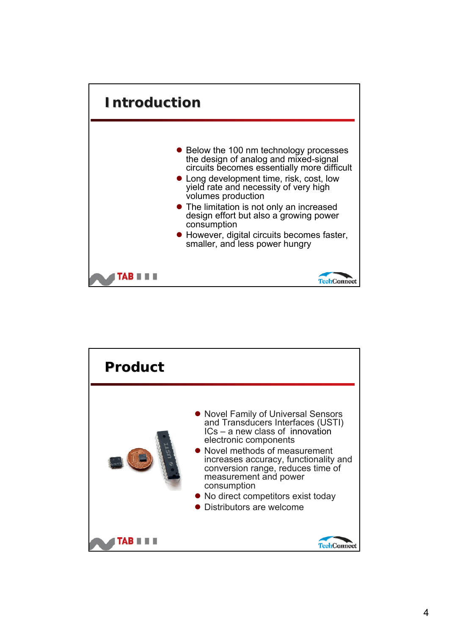

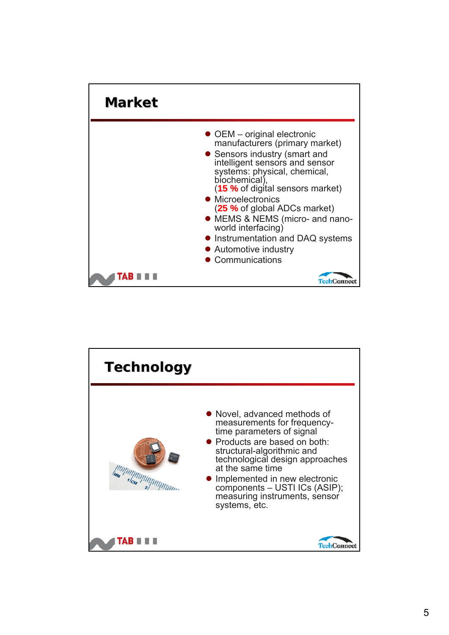

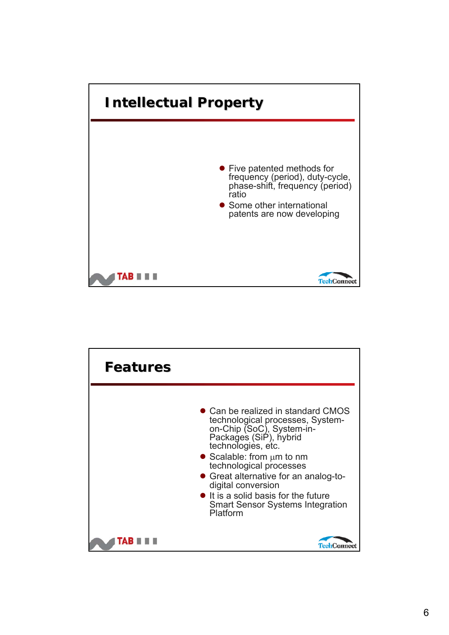

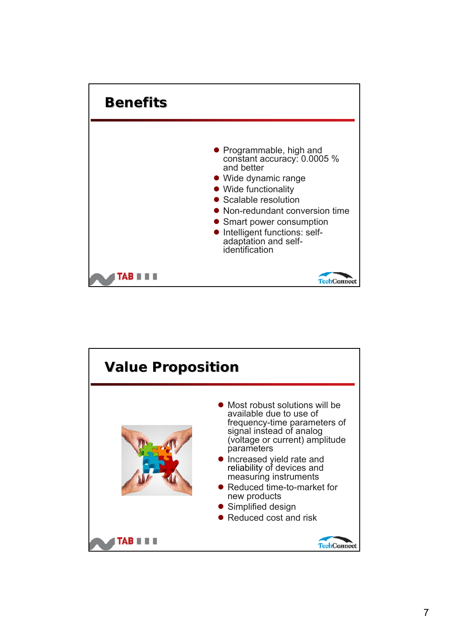

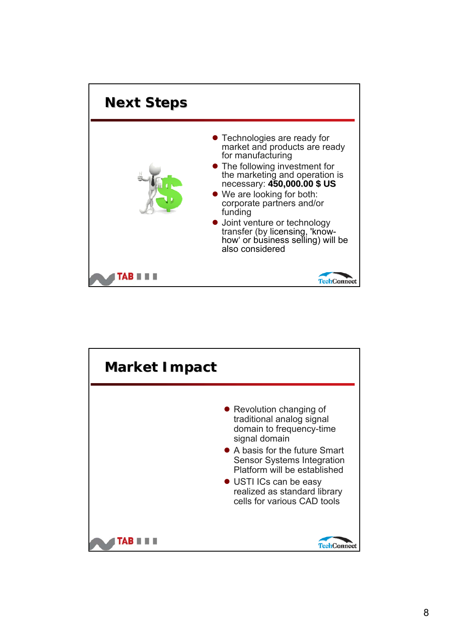